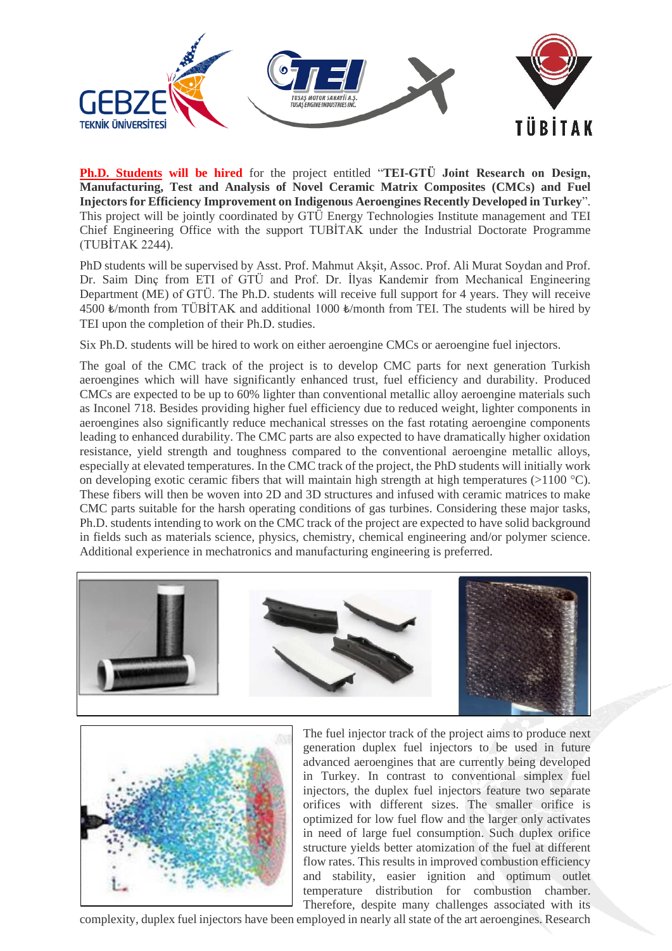

**Ph.D. Students will be hired** for the project entitled "**TEI-GTÜ Joint Research on Design, Manufacturing, Test and Analysis of Novel Ceramic Matrix Composites (CMCs) and Fuel Injectors for Efficiency Improvement on Indigenous Aeroengines Recently Developed in Turkey**". This project will be jointly coordinated by GTÜ Energy Technologies Institute management and TEI Chief Engineering Office with the support TUBİTAK under the Industrial Doctorate Programme (TUBİTAK 2244).

PhD students will be supervised by Asst. Prof. Mahmut Akşit, Assoc. Prof. Ali Murat Soydan and Prof. Dr. Saim Dinç from ETI of GTÜ and Prof. Dr. İlyas Kandemir from Mechanical Engineering Department (ME) of GTÜ. The Ph.D. students will receive full support for 4 years. They will receive 4500 ₺/month from TÜBİTAK and additional 1000 ₺/month from TEI. The students will be hired by TEI upon the completion of their Ph.D. studies.

Six Ph.D. students will be hired to work on either aeroengine CMCs or aeroengine fuel injectors.

The goal of the CMC track of the project is to develop CMC parts for next generation Turkish aeroengines which will have significantly enhanced trust, fuel efficiency and durability. Produced CMCs are expected to be up to 60% lighter than conventional metallic alloy aeroengine materials such as Inconel 718. Besides providing higher fuel efficiency due to reduced weight, lighter components in aeroengines also significantly reduce mechanical stresses on the fast rotating aeroengine components leading to enhanced durability. The CMC parts are also expected to have dramatically higher oxidation resistance, yield strength and toughness compared to the conventional aeroengine metallic alloys, especially at elevated temperatures. In the CMC track of the project, the PhD students will initially work on developing exotic ceramic fibers that will maintain high strength at high temperatures ( $>1100$  °C). These fibers will then be woven into 2D and 3D structures and infused with ceramic matrices to make CMC parts suitable for the harsh operating conditions of gas turbines. Considering these major tasks, Ph.D. students intending to work on the CMC track of the project are expected to have solid background in fields such as materials science, physics, chemistry, chemical engineering and/or polymer science. Additional experience in mechatronics and manufacturing engineering is preferred.





The fuel injector track of the project aims to produce next generation duplex fuel injectors to be used in future advanced aeroengines that are currently being developed in Turkey. In contrast to conventional simplex fuel injectors, the duplex fuel injectors feature two separate orifices with different sizes. The smaller orifice is optimized for low fuel flow and the larger only activates in need of large fuel consumption. Such duplex orifice structure yields better atomization of the fuel at different flow rates. This results in improved combustion efficiency and stability, easier ignition and optimum outlet temperature distribution for combustion chamber. Therefore, despite many challenges associated with its

complexity, duplex fuel injectors have been employed in nearly all state of the art aeroengines. Research